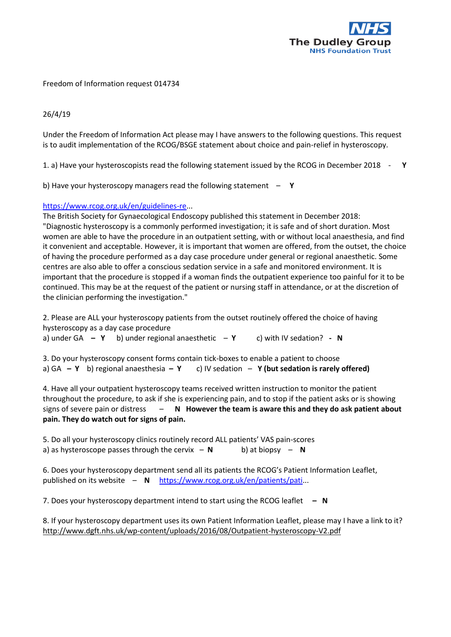

## Freedom of Information request 014734

## 26/4/19

Under the Freedom of Information Act please may I have answers to the following questions. This request is to audit implementation of the RCOG/BSGE statement about choice and pain-relief in hysteroscopy.

1. a) Have your hysteroscopists read the following statement issued by the RCOG in December 2018 - **Y**

b) Have your hysteroscopy managers read the following statement – **Y**

## [https://www.rcog.org.uk/en/guidelines-re.](https://www.rcog.org.uk/en/guidelines-re)..

The British Society for Gynaecological Endoscopy published this statement in December 2018: "Diagnostic hysteroscopy is a commonly performed investigation; it is safe and of short duration. Most women are able to have the procedure in an outpatient setting, with or without local anaesthesia, and find it convenient and acceptable. However, it is important that women are offered, from the outset, the choice of having the procedure performed as a day case procedure under general or regional anaesthetic. Some centres are also able to offer a conscious sedation service in a safe and monitored environment. It is important that the procedure is stopped if a woman finds the outpatient experience too painful for it to be continued. This may be at the request of the patient or nursing staff in attendance, or at the discretion of the clinician performing the investigation."

2. Please are ALL your hysteroscopy patients from the outset routinely offered the choice of having hysteroscopy as a day case procedure

a) under GA **– Y** b) under regional anaesthetic – **Y** c) with IV sedation? **- N**

3. Do your hysteroscopy consent forms contain tick-boxes to enable a patient to choose a) GA **– Y** b) regional anaesthesia **– Y** c) IV sedation – **Y (but sedation is rarely offered)**

4. Have all your outpatient hysteroscopy teams received written instruction to monitor the patient throughout the procedure, to ask if she is experiencing pain, and to stop if the patient asks or is showing signs of severe pain or distress – **N However the team is aware this and they do ask patient about pain. They do watch out for signs of pain.**

5. Do all your hysteroscopy clinics routinely record ALL patients' VAS pain-scores a) as hysteroscope passes through the cervix  $- N$  b) at biopsy  $- N$ 

6. Does your hysteroscopy department send all its patients the RCOG's Patient Information Leaflet, published on its website – **N** [https://www.rcog.org.uk/en/patients/pati.](https://www.rcog.org.uk/en/patients/pati)..

7. Does your hysteroscopy department intend to start using the RCOG leaflet **– N**

8. If your hysteroscopy department uses its own Patient Information Leaflet, please may I have a link to it? <http://www.dgft.nhs.uk/wp-content/uploads/2016/08/Outpatient-hysteroscopy-V2.pdf>